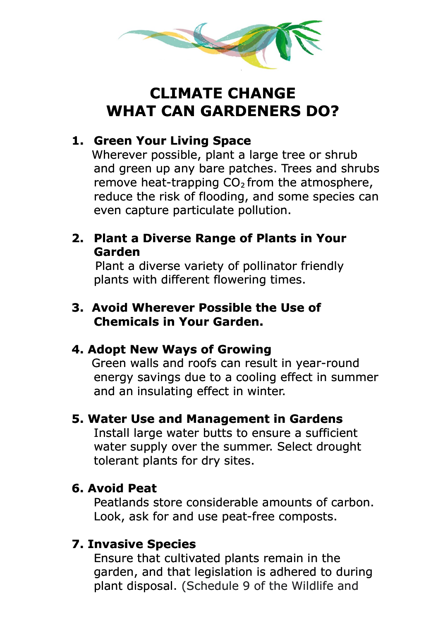

# **CLIMATE CHANGE WHAT CAN GARDENERS DO?**

# **1. Green Your Living Space**

 Wherever possible, plant a large tree or shrub and green up any bare patches. Trees and shrubs remove heat-trapping  $CO<sub>2</sub>$  from the atmosphere, reduce the risk of flooding, and some species can even capture particulate pollution.

#### **2. Plant a Diverse Range of Plants in Your Garden**

Plant a diverse variety of pollinator friendly plants with different flowering times.

### **3. Avoid Wherever Possible the Use of Chemicals in Your Garden.**

## **4. Adopt New Ways of Growing**

 Green walls and roofs can result in year-round energy savings due to a cooling effect in summer and an insulating effect in winter.

#### **5. Water Use and Management in Gardens**

Install large water butts to ensure a sufficient water supply over the summer. Select drought tolerant plants for dry sites.

## **6. Avoid Peat**

Peatlands store considerable amounts of carbon. Look, ask for and use peat-free composts.

## **7. Invasive Species**

Ensure that cultivated plants remain in the garden, and that legislation is adhered to during plant disposal. (Schedule 9 of the Wildlife and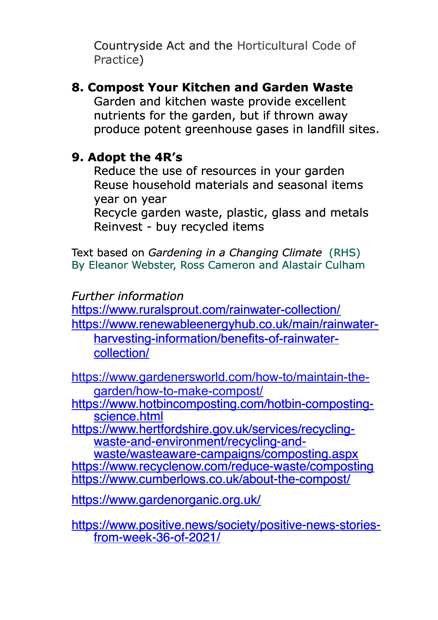Countryside Act and the Horticultural Code of Practice)

**8. Compost Your Kitchen and Garden Waste** Garden and kitchen waste provide excellent nutrients for the garden, but if thrown away produce potent greenhouse gases in landfill sites.

## **9. Adopt the 4R's**

Reduce the use of resources in your garden Reuse household materials and seasonal items year on year

Recycle garden waste, plastic, glass and metals Reinvest - buy recycled items

Text based on *Gardening in a Changing Climate* (RHS) By Eleanor Webster, Ross Cameron and Alastair Culham

## *Further information*

<https://www.ruralsprout.com/rainwater-collection/> [https://www.renewableenergyhub.co.uk/main/rainwater](https://www.renewableenergyhub.co.uk/main/rainwater-harvesting-information/benefits-of-rainwater-collection/)[harvesting-information/benefits-of-rainwater](https://www.renewableenergyhub.co.uk/main/rainwater-harvesting-information/benefits-of-rainwater-collection/)[collection/](https://www.renewableenergyhub.co.uk/main/rainwater-harvesting-information/benefits-of-rainwater-collection/)

[https://www.gardenersworld.com/how-to/maintain-the](https://www.gardenersworld.com/how-to/maintain-the-garden/how-to-make-compost/)[garden/how-to-make-compost/](https://www.gardenersworld.com/how-to/maintain-the-garden/how-to-make-compost/)

[https://www.hotbincomposting.com/hotbin-composting](https://www.hotbincomposting.com/hotbin-composting-science.html)[science.html](https://www.hotbincomposting.com/hotbin-composting-science.html)

[https://www.hertfordshire.gov.uk/services/recycling](https://www.hertfordshire.gov.uk/services/recycling-waste-and-environment/recycling-and-waste/wasteaware-campaigns/composting.aspx)[waste-and-environment/recycling-and-](https://www.hertfordshire.gov.uk/services/recycling-waste-and-environment/recycling-and-waste/wasteaware-campaigns/composting.aspx)

[waste/wasteaware-campaigns/composting.aspx](https://www.hertfordshire.gov.uk/services/recycling-waste-and-environment/recycling-and-waste/wasteaware-campaigns/composting.aspx) <https://www.recyclenow.com/reduce-waste/composting> <https://www.cumberlows.co.uk/about-the-compost/>

<https://www.gardenorganic.org.uk/>

[https://www.positive.news/society/positive-news-stories](https://www.positive.news/society/positive-news-stories-from-week-36-of-2021/)[from-week-36-of-2021/](https://www.positive.news/society/positive-news-stories-from-week-36-of-2021/)